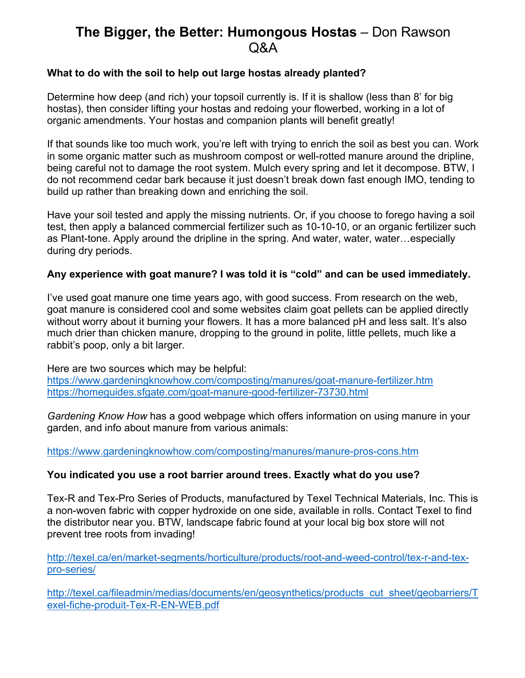# **The Bigger, the Better: Humongous Hostas** – Don Rawson  $\alpha$ A

#### **What to do with the soil to help out large hostas already planted?**

Determine how deep (and rich) your topsoil currently is. If it is shallow (less than 8' for big hostas), then consider lifting your hostas and redoing your flowerbed, working in a lot of organic amendments. Your hostas and companion plants will benefit greatly!

If that sounds like too much work, you're left with trying to enrich the soil as best you can. Work in some organic matter such as mushroom compost or well-rotted manure around the dripline, being careful not to damage the root system. Mulch every spring and let it decompose. BTW, I do not recommend cedar bark because it just doesn't break down fast enough IMO, tending to build up rather than breaking down and enriching the soil.

Have your soil tested and apply the missing nutrients. Or, if you choose to forego having a soil test, then apply a balanced commercial fertilizer such as 10-10-10, or an organic fertilizer such as Plant-tone. Apply around the dripline in the spring. And water, water, water…especially during dry periods.

# **Any experience with goat manure? I was told it is "cold" and can be used immediately.**

I've used goat manure one time years ago, with good success. From research on the web, goat manure is considered cool and some websites claim goat pellets can be applied directly without worry about it burning your flowers. It has a more balanced pH and less salt. It's also much drier than chicken manure, dropping to the ground in polite, little pellets, much like a rabbit's poop, only a bit larger.

Here are two sources which may be helpful: https://www.gardeningknowhow.com/composting/manures/goat-manure-fertilizer.htm https://homeguides.sfgate.com/goat-manure-good-fertilizer-73730.html

*Gardening Know How* has a good webpage which offers information on using manure in your garden, and info about manure from various animals:

https://www.gardeningknowhow.com/composting/manures/manure-pros-cons.htm

#### **You indicated you use a root barrier around trees. Exactly what do you use?**

Tex-R and Tex-Pro Series of Products, manufactured by Texel Technical Materials, Inc. This is a non-woven fabric with copper hydroxide on one side, available in rolls. Contact Texel to find the distributor near you. BTW, landscape fabric found at your local big box store will not prevent tree roots from invading!

http://texel.ca/en/market-segments/horticulture/products/root-and-weed-control/tex-r-and-texpro-series/

http://texel.ca/fileadmin/medias/documents/en/geosynthetics/products\_cut\_sheet/geobarriers/T exel-fiche-produit-Tex-R-EN-WEB.pdf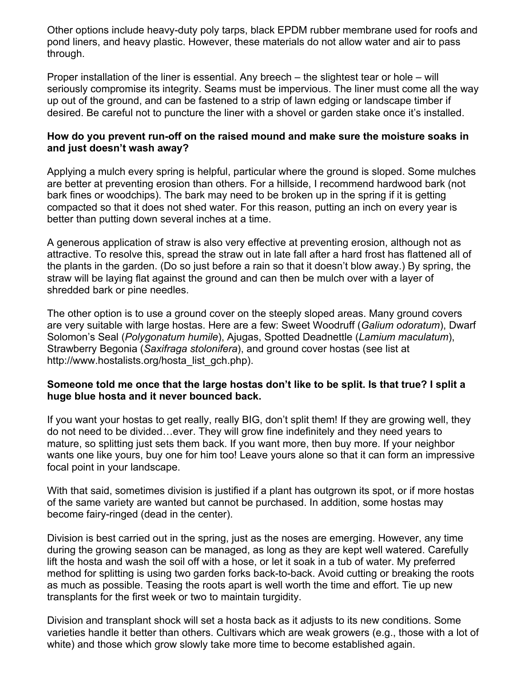Other options include heavy-duty poly tarps, black EPDM rubber membrane used for roofs and pond liners, and heavy plastic. However, these materials do not allow water and air to pass through.

Proper installation of the liner is essential. Any breech  $-$  the slightest tear or hole  $-$  will seriously compromise its integrity. Seams must be impervious. The liner must come all the way up out of the ground, and can be fastened to a strip of lawn edging or landscape timber if desired. Be careful not to puncture the liner with a shovel or garden stake once it's installed.

#### **How do you prevent run-off on the raised mound and make sure the moisture soaks in and just doesn't wash away?**

Applying a mulch every spring is helpful, particular where the ground is sloped. Some mulches are better at preventing erosion than others. For a hillside, I recommend hardwood bark (not bark fines or woodchips). The bark may need to be broken up in the spring if it is getting compacted so that it does not shed water. For this reason, putting an inch on every year is better than putting down several inches at a time.

A generous application of straw is also very effective at preventing erosion, although not as attractive. To resolve this, spread the straw out in late fall after a hard frost has flattened all of the plants in the garden. (Do so just before a rain so that it doesn't blow away.) By spring, the straw will be laying flat against the ground and can then be mulch over with a layer of shredded bark or pine needles.

The other option is to use a ground cover on the steeply sloped areas. Many ground covers are very suitable with large hostas. Here are a few: Sweet Woodruff (*Galium odoratum*), Dwarf Solomon's Seal (*Polygonatum humile*), Ajugas, Spotted Deadnettle (*Lamium maculatum*), Strawberry Begonia (*Saxifraga stolonifera*), and ground cover hostas (see list at http://www.hostalists.org/hosta\_list\_gch.php).

#### **Someone told me once that the large hostas don't like to be split. Is that true? I split a huge blue hosta and it never bounced back.**

If you want your hostas to get really, really BIG, don't split them! If they are growing well, they do not need to be divided…ever. They will grow fine indefinitely and they need years to mature, so splitting just sets them back. If you want more, then buy more. If your neighbor wants one like yours, buy one for him too! Leave yours alone so that it can form an impressive focal point in your landscape.

With that said, sometimes division is justified if a plant has outgrown its spot, or if more hostas of the same variety are wanted but cannot be purchased. In addition, some hostas may become fairy-ringed (dead in the center).

Division is best carried out in the spring, just as the noses are emerging. However, any time during the growing season can be managed, as long as they are kept well watered. Carefully lift the hosta and wash the soil off with a hose, or let it soak in a tub of water. My preferred method for splitting is using two garden forks back-to-back. Avoid cutting or breaking the roots as much as possible. Teasing the roots apart is well worth the time and effort. Tie up new transplants for the first week or two to maintain turgidity.

Division and transplant shock will set a hosta back as it adjusts to its new conditions. Some varieties handle it better than others. Cultivars which are weak growers (e.g., those with a lot of white) and those which grow slowly take more time to become established again.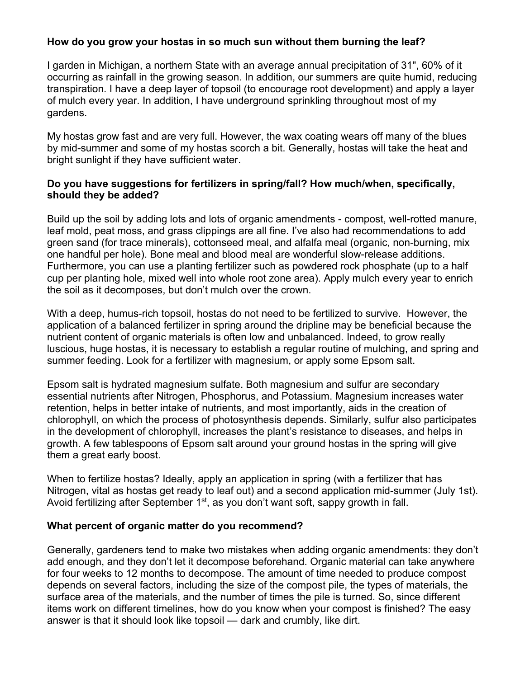# **How do you grow your hostas in so much sun without them burning the leaf?**

I garden in Michigan, a northern State with an average annual precipitation of 31", 60% of it occurring as rainfall in the growing season. In addition, our summers are quite humid, reducing transpiration. I have a deep layer of topsoil (to encourage root development) and apply a layer of mulch every year. In addition, I have underground sprinkling throughout most of my gardens.

My hostas grow fast and are very full. However, the wax coating wears off many of the blues by mid-summer and some of my hostas scorch a bit. Generally, hostas will take the heat and bright sunlight if they have sufficient water.

#### **Do you have suggestions for fertilizers in spring/fall? How much/when, specifically, should they be added?**

Build up the soil by adding lots and lots of organic amendments - compost, well-rotted manure, leaf mold, peat moss, and grass clippings are all fine. I've also had recommendations to add green sand (for trace minerals), cottonseed meal, and alfalfa meal (organic, non-burning, mix one handful per hole). Bone meal and blood meal are wonderful slow-release additions. Furthermore, you can use a planting fertilizer such as powdered rock phosphate (up to a half cup per planting hole, mixed well into whole root zone area). Apply mulch every year to enrich the soil as it decomposes, but don't mulch over the crown.

With a deep, humus-rich topsoil, hostas do not need to be fertilized to survive. However, the application of a balanced fertilizer in spring around the dripline may be beneficial because the nutrient content of organic materials is often low and unbalanced. Indeed, to grow really luscious, huge hostas, it is necessary to establish a regular routine of mulching, and spring and summer feeding. Look for a fertilizer with magnesium, or apply some Epsom salt.

Epsom salt is hydrated magnesium sulfate. Both magnesium and sulfur are secondary essential nutrients after Nitrogen, Phosphorus, and Potassium. Magnesium increases water retention, helps in better intake of nutrients, and most importantly, aids in the creation of chlorophyll, on which the process of photosynthesis depends. Similarly, sulfur also participates in the development of chlorophyll, increases the plant's resistance to diseases, and helps in growth. A few tablespoons of Epsom salt around your ground hostas in the spring will give them a great early boost.

When to fertilize hostas? Ideally, apply an application in spring (with a fertilizer that has Nitrogen, vital as hostas get ready to leaf out) and a second application mid-summer (July 1st). Avoid fertilizing after September  $1<sup>st</sup>$ , as you don't want soft, sappy growth in fall.

#### **What percent of organic matter do you recommend?**

Generally, gardeners tend to make two mistakes when adding organic amendments: they don't add enough, and they don't let it decompose beforehand. Organic material can take anywhere for four weeks to 12 months to decompose. The amount of time needed to produce compost depends on several factors, including the size of the compost pile, the types of materials, the surface area of the materials, and the number of times the pile is turned. So, since different items work on different timelines, how do you know when your compost is finished? The easy answer is that it should look like topsoil — dark and crumbly, like dirt.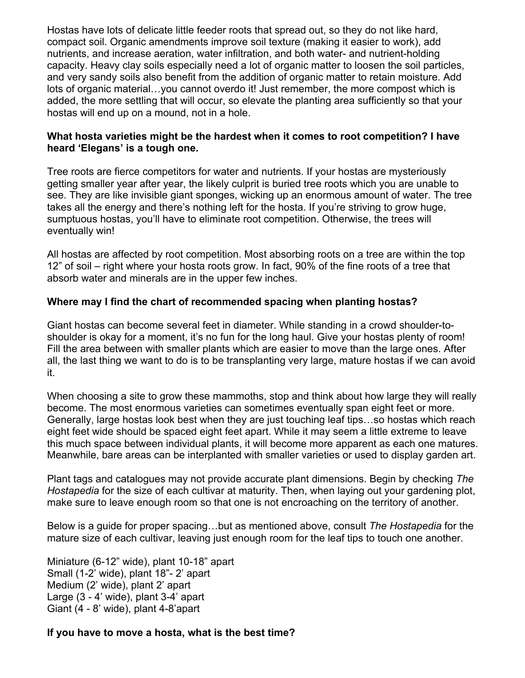Hostas have lots of delicate little feeder roots that spread out, so they do not like hard, compact soil. Organic amendments improve soil texture (making it easier to work), add nutrients, and increase aeration, water infiltration, and both water- and nutrient-holding capacity. Heavy clay soils especially need a lot of organic matter to loosen the soil particles, and very sandy soils also benefit from the addition of organic matter to retain moisture. Add lots of organic material... you cannot overdo it! Just remember, the more compost which is added, the more settling that will occur, so elevate the planting area sufficiently so that your hostas will end up on a mound, not in a hole.

#### **What hosta varieties might be the hardest when it comes to root competition? I have heard 'Elegans' is a tough one.**

Tree roots are fierce competitors for water and nutrients. If your hostas are mysteriously getting smaller year after year, the likely culprit is buried tree roots which you are unable to see. They are like invisible giant sponges, wicking up an enormous amount of water. The tree takes all the energy and there's nothing left for the hosta. If you're striving to grow huge, sumptuous hostas, you'll have to eliminate root competition. Otherwise, the trees will eventually win!

All hostas are affected by root competition. Most absorbing roots on a tree are within the top 12" of soil – right where your hosta roots grow. In fact, 90% of the fine roots of a tree that absorb water and minerals are in the upper few inches.

# **Where may I find the chart of recommended spacing when planting hostas?**

Giant hostas can become several feet in diameter. While standing in a crowd shoulder-toshoulder is okay for a moment, it's no fun for the long haul. Give your hostas plenty of room! Fill the area between with smaller plants which are easier to move than the large ones. After all, the last thing we want to do is to be transplanting very large, mature hostas if we can avoid it.

When choosing a site to grow these mammoths, stop and think about how large they will really become. The most enormous varieties can sometimes eventually span eight feet or more. Generally, large hostas look best when they are just touching leaf tips…so hostas which reach eight feet wide should be spaced eight feet apart. While it may seem a little extreme to leave this much space between individual plants, it will become more apparent as each one matures. Meanwhile, bare areas can be interplanted with smaller varieties or used to display garden art.

Plant tags and catalogues may not provide accurate plant dimensions. Begin by checking *The Hostapedia* for the size of each cultivar at maturity. Then, when laying out your gardening plot, make sure to leave enough room so that one is not encroaching on the territory of another.

Below is a guide for proper spacing…but as mentioned above, consult *The Hostapedia* for the mature size of each cultivar, leaving just enough room for the leaf tips to touch one another.

Miniature (6-12" wide), plant 10-18" apart Small (1-2' wide), plant 18"- 2' apart Medium (2' wide), plant 2' apart Large (3 - 4' wide), plant 3-4' apart Giant (4 - 8' wide), plant 4-8'apart

# **If you have to move a hosta, what is the best time?**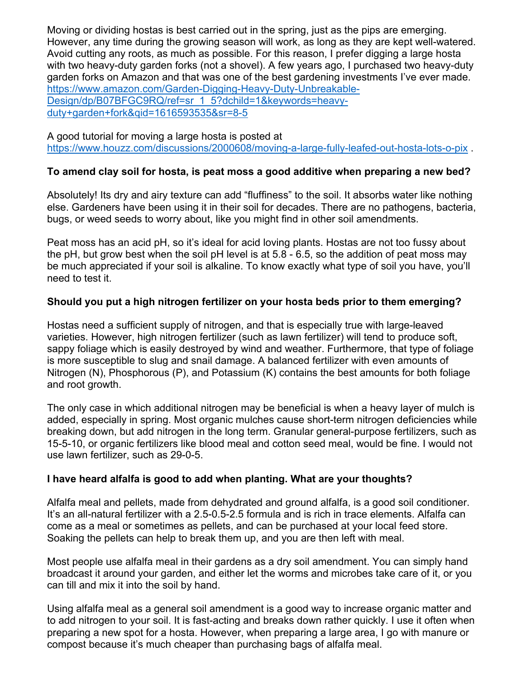Moving or dividing hostas is best carried out in the spring, just as the pips are emerging. However, any time during the growing season will work, as long as they are kept well-watered. Avoid cutting any roots, as much as possible. For this reason, I prefer digging a large hosta with two heavy-duty garden forks (not a shovel). A few years ago, I purchased two heavy-duty garden forks on Amazon and that was one of the best gardening investments I've ever made. https://www.amazon.com/Garden-Digging-Heavy-Duty-Unbreakable-Design/dp/B07BFGC9RQ/ref=sr\_1\_5?dchild=1&keywords=heavyduty+garden+fork&qid=1616593535&sr=8-5

A good tutorial for moving a large hosta is posted at https://www.houzz.com/discussions/2000608/moving-a-large-fully-leafed-out-hosta-lots-o-pix .

# **To amend clay soil for hosta, is peat moss a good additive when preparing a new bed?**

Absolutely! Its dry and airy texture can add "fluffiness" to the soil. It absorbs water like nothing else. Gardeners have been using it in their soil for decades. There are no pathogens, bacteria, bugs, or weed seeds to worry about, like you might find in other soil amendments.

Peat moss has an acid pH, so it's ideal for acid loving plants. Hostas are not too fussy about the pH, but grow best when the soil pH level is at 5.8 - 6.5, so the addition of peat moss may be much appreciated if your soil is alkaline. To know exactly what type of soil you have, you'll need to test it.

#### **Should you put a high nitrogen fertilizer on your hosta beds prior to them emerging?**

Hostas need a sufficient supply of nitrogen, and that is especially true with large-leaved varieties. However, high nitrogen fertilizer (such as lawn fertilizer) will tend to produce soft, sappy foliage which is easily destroyed by wind and weather. Furthermore, that type of foliage is more susceptible to slug and snail damage. A balanced fertilizer with even amounts of Nitrogen (N), Phosphorous (P), and Potassium (K) contains the best amounts for both foliage and root growth.

The only case in which additional nitrogen may be beneficial is when a heavy layer of mulch is added, especially in spring. Most organic mulches cause short-term nitrogen deficiencies while breaking down, but add nitrogen in the long term. Granular general-purpose fertilizers, such as 15-5-10, or organic fertilizers like blood meal and cotton seed meal, would be fine. I would not use lawn fertilizer, such as 29-0-5.

#### **I have heard alfalfa is good to add when planting. What are your thoughts?**

Alfalfa meal and pellets, made from dehydrated and ground alfalfa, is a good soil conditioner. It's an all-natural fertilizer with a 2.5-0.5-2.5 formula and is rich in trace elements. Alfalfa can come as a meal or sometimes as pellets, and can be purchased at your local feed store. Soaking the pellets can help to break them up, and you are then left with meal.

Most people use alfalfa meal in their gardens as a dry soil amendment. You can simply hand broadcast it around your garden, and either let the worms and microbes take care of it, or you can till and mix it into the soil by hand.

Using alfalfa meal as a general soil amendment is a good way to increase organic matter and to add nitrogen to your soil. It is fast-acting and breaks down rather quickly. I use it often when preparing a new spot for a hosta. However, when preparing a large area, I go with manure or compost because it's much cheaper than purchasing bags of alfalfa meal.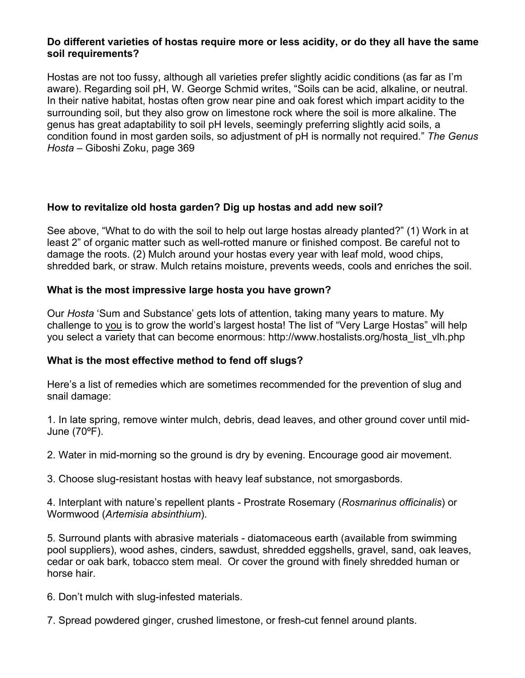#### **Do different varieties of hostas require more or less acidity, or do they all have the same soil requirements?**

Hostas are not too fussy, although all varieties prefer slightly acidic conditions (as far as I'm aware). Regarding soil pH, W. George Schmid writes, "Soils can be acid, alkaline, or neutral. In their native habitat, hostas often grow near pine and oak forest which impart acidity to the surrounding soil, but they also grow on limestone rock where the soil is more alkaline. The genus has great adaptability to soil pH levels, seemingly preferring slightly acid soils, a condition found in most garden soils, so adjustment of pH is normally not required." *The Genus Hosta* ‒ Giboshi Zoku, page 369

# **How to revitalize old hosta garden? Dig up hostas and add new soil?**

See above, "What to do with the soil to help out large hostas already planted?" (1) Work in at least 2" of organic matter such as well-rotted manure or finished compost. Be careful not to damage the roots. (2) Mulch around your hostas every year with leaf mold, wood chips, shredded bark, or straw. Mulch retains moisture, prevents weeds, cools and enriches the soil.

# **What is the most impressive large hosta you have grown?**

Our *Hosta* 'Sum and Substance' gets lots of attention, taking many years to mature. My challenge to you is to grow the world's largest hosta! The list of "Very Large Hostas" will help you select a variety that can become enormous: http://www.hostalists.org/hosta\_list\_vlh.php

#### **What is the most effective method to fend off slugs?**

Here's a list of remedies which are sometimes recommended for the prevention of slug and snail damage:

1. In late spring, remove winter mulch, debris, dead leaves, and other ground cover until mid-June (70ºF).

2. Water in mid-morning so the ground is dry by evening. Encourage good air movement.

3. Choose slug-resistant hostas with heavy leaf substance, not smorgasbords.

4. Interplant with nature's repellent plants - Prostrate Rosemary (*Rosmarinus officinalis*) or Wormwood (*Artemisia absinthium*).

5. Surround plants with abrasive materials - diatomaceous earth (available from swimming pool suppliers), wood ashes, cinders, sawdust, shredded eggshells, gravel, sand, oak leaves, cedar or oak bark, tobacco stem meal. Or cover the ground with finely shredded human or horse hair.

6. Don't mulch with slug-infested materials.

7. Spread powdered ginger, crushed limestone, or fresh-cut fennel around plants.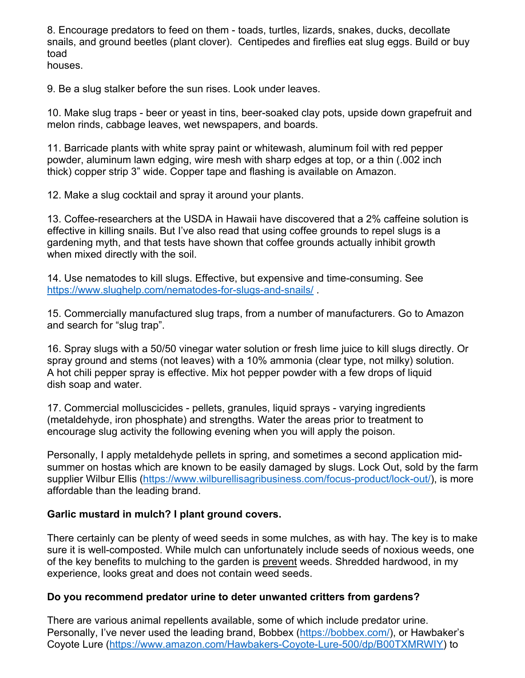8. Encourage predators to feed on them - toads, turtles, lizards, snakes, ducks, decollate snails, and ground beetles (plant clover). Centipedes and fireflies eat slug eggs. Build or buy toad

houses.

9. Be a slug stalker before the sun rises. Look under leaves.

10. Make slug traps - beer or yeast in tins, beer-soaked clay pots, upside down grapefruit and melon rinds, cabbage leaves, wet newspapers, and boards.

11. Barricade plants with white spray paint or whitewash, aluminum foil with red pepper powder, aluminum lawn edging, wire mesh with sharp edges at top, or a thin (.002 inch thick) copper strip 3" wide. Copper tape and flashing is available on Amazon.

12. Make a slug cocktail and spray it around your plants.

13. Coffee-researchers at the USDA in Hawaii have discovered that a 2% caffeine solution is effective in killing snails. But I've also read that using coffee grounds to repel slugs is a gardening myth, and that tests have shown that coffee grounds actually inhibit growth when mixed directly with the soil.

14. Use nematodes to kill slugs. Effective, but expensive and time-consuming. See https://www.slughelp.com/nematodes-for-slugs-and-snails/ .

15. Commercially manufactured slug traps, from a number of manufacturers. Go to Amazon and search for "slug trap".

16. Spray slugs with a 50/50 vinegar water solution or fresh lime juice to kill slugs directly. Or spray ground and stems (not leaves) with a 10% ammonia (clear type, not milky) solution. A hot chili pepper spray is effective. Mix hot pepper powder with a few drops of liquid dish soap and water.

17. Commercial molluscicides - pellets, granules, liquid sprays - varying ingredients (metaldehyde, iron phosphate) and strengths. Water the areas prior to treatment to encourage slug activity the following evening when you will apply the poison.

Personally, I apply metaldehyde pellets in spring, and sometimes a second application midsummer on hostas which are known to be easily damaged by slugs. Lock Out, sold by the farm supplier Wilbur Ellis (https://www.wilburellisagribusiness.com/focus-product/lock-out/), is more affordable than the leading brand.

# **Garlic mustard in mulch? I plant ground covers.**

There certainly can be plenty of weed seeds in some mulches, as with hay. The key is to make sure it is well-composted. While mulch can unfortunately include seeds of noxious weeds, one of the key benefits to mulching to the garden is prevent weeds. Shredded hardwood, in my experience, looks great and does not contain weed seeds.

# **Do you recommend predator urine to deter unwanted critters from gardens?**

There are various animal repellents available, some of which include predator urine. Personally, I've never used the leading brand, Bobbex (https://bobbex.com/), or Hawbaker's Coyote Lure (https://www.amazon.com/Hawbakers-Coyote-Lure-500/dp/B00TXMRWIY) to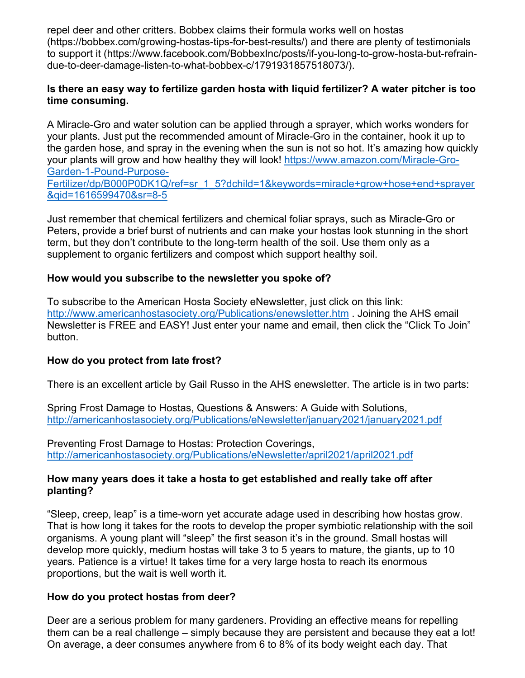repel deer and other critters. Bobbex claims their formula works well on hostas (https://bobbex.com/growing-hostas-tips-for-best-results/) and there are plenty of testimonials to support it (https://www.facebook.com/BobbexInc/posts/if-you-long-to-grow-hosta-but-refraindue-to-deer-damage-listen-to-what-bobbex-c/1791931857518073/).

# **Is there an easy way to fertilize garden hosta with liquid fertilizer? A water pitcher is too time consuming.**

A Miracle-Gro and water solution can be applied through a sprayer, which works wonders for your plants. Just put the recommended amount of Miracle-Gro in the container, hook it up to the garden hose, and spray in the evening when the sun is not so hot. It's amazing how quickly your plants will grow and how healthy they will look! https://www.amazon.com/Miracle-Gro-Garden-1-Pound-Purpose-

Fertilizer/dp/B000P0DK1Q/ref=sr\_1\_5?dchild=1&keywords=miracle+grow+hose+end+sprayer &qid=1616599470&sr=8-5

Just remember that chemical fertilizers and chemical foliar sprays, such as Miracle-Gro or Peters, provide a brief burst of nutrients and can make your hostas look stunning in the short term, but they don't contribute to the long-term health of the soil. Use them only as a supplement to organic fertilizers and compost which support healthy soil.

# **How would you subscribe to the newsletter you spoke of?**

To subscribe to the American Hosta Society eNewsletter, just click on this link: http://www.americanhostasociety.org/Publications/enewsletter.htm . Joining the AHS email Newsletter is FREE and EASY! Just enter your name and email, then click the "Click To Join" button.

#### **How do you protect from late frost?**

There is an excellent article by Gail Russo in the AHS enewsletter. The article is in two parts:

Spring Frost Damage to Hostas, Questions & Answers: A Guide with Solutions, http://americanhostasociety.org/Publications/eNewsletter/january2021/january2021.pdf

Preventing Frost Damage to Hostas: Protection Coverings, http://americanhostasociety.org/Publications/eNewsletter/april2021/april2021.pdf

#### **How many years does it take a hosta to get established and really take off after planting?**

"Sleep, creep, leap" is a time-worn yet accurate adage used in describing how hostas grow. That is how long it takes for the roots to develop the proper symbiotic relationship with the soil organisms. A young plant will "sleep" the first season it's in the ground. Small hostas will develop more quickly, medium hostas will take 3 to 5 years to mature, the giants, up to 10 years. Patience is a virtue! It takes time for a very large hosta to reach its enormous proportions, but the wait is well worth it.

#### **How do you protect hostas from deer?**

Deer are a serious problem for many gardeners. Providing an effective means for repelling them can be a real challenge – simply because they are persistent and because they eat a lot! On average, a deer consumes anywhere from 6 to 8% of its body weight each day. That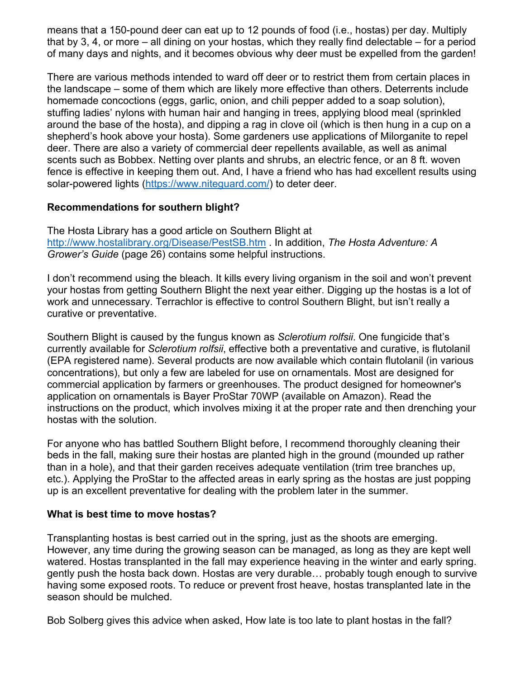means that a 150-pound deer can eat up to 12 pounds of food (i.e., hostas) per day. Multiply that by 3, 4, or more  $-$  all dining on your hostas, which they really find delectable  $-$  for a period of many days and nights, and it becomes obvious why deer must be expelled from the garden!

There are various methods intended to ward off deer or to restrict them from certain places in the landscape – some of them which are likely more effective than others. Deterrents include homemade concoctions (eggs, garlic, onion, and chili pepper added to a soap solution), stuffing ladies' nylons with human hair and hanging in trees, applying blood meal (sprinkled around the base of the hosta), and dipping a rag in clove oil (which is then hung in a cup on a shepherd's hook above your hosta). Some gardeners use applications of Milorganite to repel deer. There are also a variety of commercial deer repellents available, as well as animal scents such as Bobbex. Netting over plants and shrubs, an electric fence, or an 8 ft. woven fence is effective in keeping them out. And, I have a friend who has had excellent results using solar-powered lights (https://www.niteguard.com/) to deter deer.

# **Recommendations for southern blight?**

The Hosta Library has a good article on Southern Blight at http://www.hostalibrary.org/Disease/PestSB.htm . In addition, *The Hosta Adventure: A Grower's Guide* (page 26) contains some helpful instructions.

I don't recommend using the bleach. It kills every living organism in the soil and won't prevent your hostas from getting Southern Blight the next year either. Digging up the hostas is a lot of work and unnecessary. Terrachlor is effective to control Southern Blight, but isn't really a curative or preventative.

Southern Blight is caused by the fungus known as *Sclerotium rolfsii*. One fungicide that's currently available for *Sclerotium rolfsii*, effective both a preventative and curative, is flutolanil (EPA registered name). Several products are now available which contain flutolanil (in various concentrations), but only a few are labeled for use on ornamentals. Most are designed for commercial application by farmers or greenhouses. The product designed for homeowner's application on ornamentals is Bayer ProStar 70WP (available on Amazon). Read the instructions on the product, which involves mixing it at the proper rate and then drenching your hostas with the solution.

For anyone who has battled Southern Blight before, I recommend thoroughly cleaning their beds in the fall, making sure their hostas are planted high in the ground (mounded up rather than in a hole), and that their garden receives adequate ventilation (trim tree branches up, etc.). Applying the ProStar to the affected areas in early spring as the hostas are just popping up is an excellent preventative for dealing with the problem later in the summer.

# **What is best time to move hostas?**

Transplanting hostas is best carried out in the spring, just as the shoots are emerging. However, any time during the growing season can be managed, as long as they are kept well watered. Hostas transplanted in the fall may experience heaving in the winter and early spring. gently push the hosta back down. Hostas are very durable… probably tough enough to survive having some exposed roots. To reduce or prevent frost heave, hostas transplanted late in the season should be mulched.

Bob Solberg gives this advice when asked, How late is too late to plant hostas in the fall?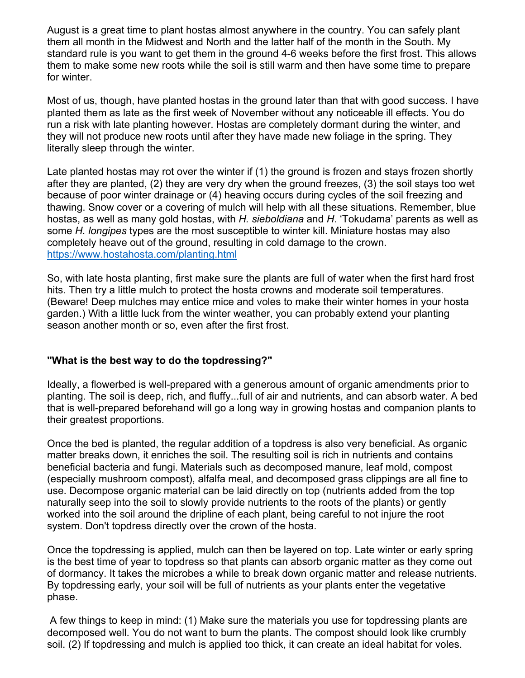August is a great time to plant hostas almost anywhere in the country. You can safely plant them all month in the Midwest and North and the latter half of the month in the South. My standard rule is you want to get them in the ground 4-6 weeks before the first frost. This allows them to make some new roots while the soil is still warm and then have some time to prepare for winter.

Most of us, though, have planted hostas in the ground later than that with good success. I have planted them as late as the first week of November without any noticeable ill effects. You do run a risk with late planting however. Hostas are completely dormant during the winter, and they will not produce new roots until after they have made new foliage in the spring. They literally sleep through the winter.

Late planted hostas may rot over the winter if (1) the ground is frozen and stays frozen shortly after they are planted, (2) they are very dry when the ground freezes, (3) the soil stays too wet because of poor winter drainage or (4) heaving occurs during cycles of the soil freezing and thawing. Snow cover or a covering of mulch will help with all these situations. Remember, blue hostas, as well as many gold hostas, with *H. sieboldiana* and *H*. 'Tokudama' parents as well as some *H. longipes* types are the most susceptible to winter kill. Miniature hostas may also completely heave out of the ground, resulting in cold damage to the crown. https://www.hostahosta.com/planting.html

So, with late hosta planting, first make sure the plants are full of water when the first hard frost hits. Then try a little mulch to protect the hosta crowns and moderate soil temperatures. (Beware! Deep mulches may entice mice and voles to make their winter homes in your hosta garden.) With a little luck from the winter weather, you can probably extend your planting season another month or so, even after the first frost.

#### **"What is the best way to do the topdressing?"**

Ideally, a flowerbed is well-prepared with a generous amount of organic amendments prior to planting. The soil is deep, rich, and fluffy...full of air and nutrients, and can absorb water. A bed that is well-prepared beforehand will go a long way in growing hostas and companion plants to their greatest proportions.

Once the bed is planted, the regular addition of a topdress is also very beneficial. As organic matter breaks down, it enriches the soil. The resulting soil is rich in nutrients and contains beneficial bacteria and fungi. Materials such as decomposed manure, leaf mold, compost (especially mushroom compost), alfalfa meal, and decomposed grass clippings are all fine to use. Decompose organic material can be laid directly on top (nutrients added from the top naturally seep into the soil to slowly provide nutrients to the roots of the plants) or gently worked into the soil around the dripline of each plant, being careful to not injure the root system. Don't topdress directly over the crown of the hosta.

Once the topdressing is applied, mulch can then be layered on top. Late winter or early spring is the best time of year to topdress so that plants can absorb organic matter as they come out of dormancy. It takes the microbes a while to break down organic matter and release nutrients. By topdressing early, your soil will be full of nutrients as your plants enter the vegetative phase.

A few things to keep in mind: (1) Make sure the materials you use for topdressing plants are decomposed well. You do not want to burn the plants. The compost should look like crumbly soil. (2) If topdressing and mulch is applied too thick, it can create an ideal habitat for voles.